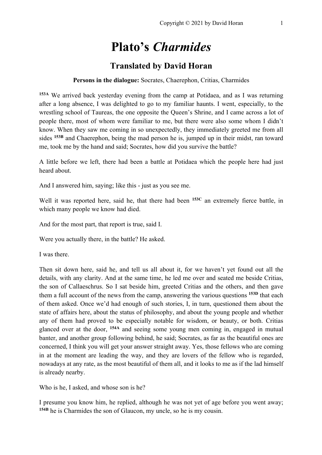# **Plato's** *Charmides*

# **Translated by David Horan**

#### **Persons in the dialogue:** Socrates, Chaerephon, Critias, Charmides

**153A** We arrived back yesterday evening from the camp at Potidaea, and as I was returning after a long absence, I was delighted to go to my familiar haunts. I went, especially, to the wrestling school of Taureas, the one opposite the Queen's Shrine, and I came across a lot of people there, most of whom were familiar to me, but there were also some whom I didn't know. When they saw me coming in so unexpectedly, they immediately greeted me from all sides **153B** and Chaerephon, being the mad person he is, jumped up in their midst, ran toward me, took me by the hand and said; Socrates, how did you survive the battle?

A little before we left, there had been a battle at Potidaea which the people here had just heard about.

And I answered him, saying; like this - just as you see me.

Well it was reported here, said he, that there had been <sup>153C</sup> an extremely fierce battle, in which many people we know had died.

And for the most part, that report is true, said I.

Were you actually there, in the battle? He asked.

I was there.

Then sit down here, said he, and tell us all about it, for we haven't yet found out all the details, with any clarity. And at the same time, he led me over and seated me beside Critias, the son of Callaeschrus. So I sat beside him, greeted Critias and the others, and then gave them a full account of the news from the camp, answering the various questions **153D** that each of them asked. Once we'd had enough of such stories, I, in turn, questioned them about the state of affairs here, about the status of philosophy, and about the young people and whether any of them had proved to be especially notable for wisdom, or beauty, or both. Critias glanced over at the door, **154A** and seeing some young men coming in, engaged in mutual banter, and another group following behind, he said; Socrates, as far as the beautiful ones are concerned, I think you will get your answer straight away. Yes, those fellows who are coming in at the moment are leading the way, and they are lovers of the fellow who is regarded, nowadays at any rate, as the most beautiful of them all, and it looks to me as if the lad himself is already nearby.

Who is he, I asked, and whose son is he?

I presume you know him, he replied, although he was not yet of age before you went away; **154B** he is Charmides the son of Glaucon, my uncle, so he is my cousin.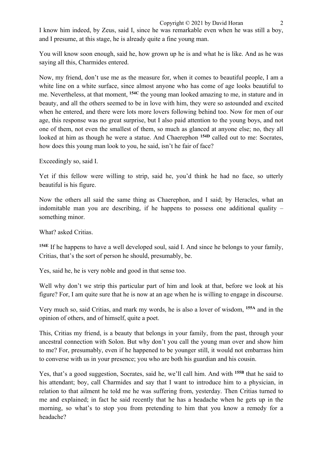I know him indeed, by Zeus, said I, since he was remarkable even when he was still a boy, and I presume, at this stage, he is already quite a fine young man.

You will know soon enough, said he, how grown up he is and what he is like. And as he was saying all this, Charmides entered.

Now, my friend, don't use me as the measure for, when it comes to beautiful people, I am a white line on a white surface, since almost anyone who has come of age looks beautiful to me. Nevertheless, at that moment, **154C** the young man looked amazing to me, in stature and in beauty, and all the others seemed to be in love with him, they were so astounded and excited when he entered, and there were lots more lovers following behind too. Now for men of our age, this response was no great surprise, but I also paid attention to the young boys, and not one of them, not even the smallest of them, so much as glanced at anyone else; no, they all looked at him as though he were a statue. And Chaerephon **154D** called out to me: Socrates, how does this young man look to you, he said, isn't he fair of face?

Exceedingly so, said I.

Yet if this fellow were willing to strip, said he, you'd think he had no face, so utterly beautiful is his figure.

Now the others all said the same thing as Chaerephon, and I said; by Heracles, what an indomitable man you are describing, if he happens to possess one additional quality – something minor.

What? asked Critias.

**154E** If he happens to have a well developed soul, said I. And since he belongs to your family, Critias, that's the sort of person he should, presumably, be.

Yes, said he, he is very noble and good in that sense too.

Well why don't we strip this particular part of him and look at that, before we look at his figure? For, I am quite sure that he is now at an age when he is willing to engage in discourse.

Very much so, said Critias, and mark my words, he is also a lover of wisdom, **155A** and in the opinion of others, and of himself, quite a poet.

This, Critias my friend, is a beauty that belongs in your family, from the past, through your ancestral connection with Solon. But why don't you call the young man over and show him to me? For, presumably, even if he happened to be younger still, it would not embarrass him to converse with us in your presence; you who are both his guardian and his cousin.

Yes, that's a good suggestion, Socrates, said he, we'll call him. And with **155B** that he said to his attendant; boy, call Charmides and say that I want to introduce him to a physician, in relation to that ailment he told me he was suffering from, yesterday. Then Critias turned to me and explained; in fact he said recently that he has a headache when he gets up in the morning, so what's to stop you from pretending to him that you know a remedy for a headache?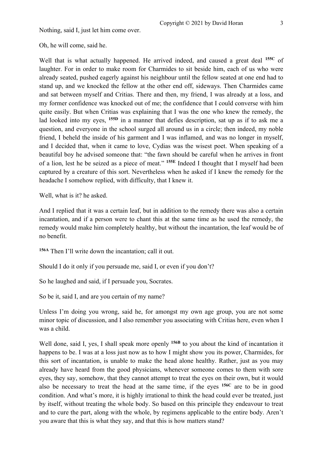Nothing, said I, just let him come over.

Oh, he will come, said he.

Well that is what actually happened. He arrived indeed, and caused a great deal **155C** of laughter. For in order to make room for Charmides to sit beside him, each of us who were already seated, pushed eagerly against his neighbour until the fellow seated at one end had to stand up, and we knocked the fellow at the other end off, sideways. Then Charmides came and sat between myself and Critias. There and then, my friend, I was already at a loss, and my former confidence was knocked out of me; the confidence that I could converse with him quite easily. But when Critias was explaining that I was the one who knew the remedy, the lad looked into my eyes, **155D** in a manner that defies description, sat up as if to ask me a question, and everyone in the school surged all around us in a circle; then indeed, my noble friend, I beheld the inside of his garment and I was inflamed, and was no longer in myself, and I decided that, when it came to love, Cydias was the wisest poet. When speaking of a beautiful boy he advised someone that: "the fawn should be careful when he arrives in front of a lion, lest he be seized as a piece of meat." **155E** Indeed I thought that I myself had been captured by a creature of this sort. Nevertheless when he asked if I knew the remedy for the headache I somehow replied, with difficulty, that I knew it.

Well, what is it? he asked.

And I replied that it was a certain leaf, but in addition to the remedy there was also a certain incantation, and if a person were to chant this at the same time as he used the remedy, the remedy would make him completely healthy, but without the incantation, the leaf would be of no benefit.

**156A** Then I'll write down the incantation; call it out.

Should I do it only if you persuade me, said I, or even if you don't?

So he laughed and said, if I persuade you, Socrates.

So be it, said I, and are you certain of my name?

Unless I'm doing you wrong, said he, for amongst my own age group, you are not some minor topic of discussion, and I also remember you associating with Critias here, even when I was a child.

Well done, said I, yes, I shall speak more openly **156B** to you about the kind of incantation it happens to be. I was at a loss just now as to how I might show you its power, Charmides, for this sort of incantation, is unable to make the head alone healthy. Rather, just as you may already have heard from the good physicians, whenever someone comes to them with sore eyes, they say, somehow, that they cannot attempt to treat the eyes on their own, but it would also be necessary to treat the head at the same time, if the eyes **156C** are to be in good condition. And what's more, it is highly irrational to think the head could ever be treated, just by itself, without treating the whole body. So based on this principle they endeavour to treat and to cure the part, along with the whole, by regimens applicable to the entire body. Aren't you aware that this is what they say, and that this is how matters stand?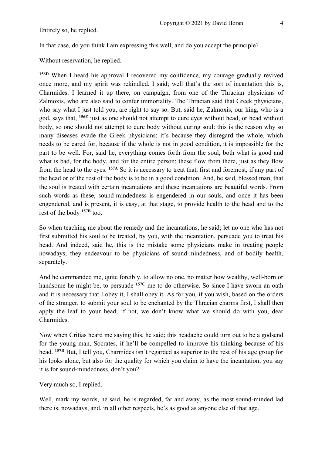Entirely so, he replied.

In that case, do you think I am expressing this well, and do you accept the principle?

Without reservation, he replied.

**156D** When I heard his approval I recovered my confidence, my courage gradually revived once more, and my spirit was rekindled. I said; well that's the sort of incantation this is, Charmides. I learned it up there, on campaign, from one of the Thracian physicians of Zalmoxis, who are also said to confer immortality. The Thracian said that Greek physicians, who say what I just told you, are right to say so. But, said he, Zalmoxis, our king, who is a god, says that, **156E** just as one should not attempt to cure eyes without head, or head without body, so one should not attempt to cure body without curing soul: this is the reason why so many diseases evade the Greek physicians; it's because they disregard the whole, which needs to be cared for, because if the whole is not in good condition, it is impossible for the part to be well. For, said he, everything comes forth from the soul, both what is good and what is bad, for the body, and for the entire person; these flow from there, just as they flow from the head to the eyes. **157A** So it is necessary to treat that, first and foremost, if any part of the head or of the rest of the body is to be in a good condition. And, he said, blessed man, that the soul is treated with certain incantations and these incantations are beautiful words. From such words as these, sound-mindedness is engendered in our souls, and once it has been engendered, and is present, it is easy, at that stage, to provide health to the head and to the rest of the body **157B** too.

So when teaching me about the remedy and the incantations, he said; let no one who has not first submitted his soul to be treated, by you, with the incantation, persuade you to treat his head. And indeed, said he, this is the mistake some physicians make in treating people nowadays; they endeavour to be physicians of sound-mindedness, and of bodily health, separately.

And he commanded me, quite forcibly, to allow no one, no matter how wealthy, well-born or handsome he might be, to persuade **157C** me to do otherwise. So since I have sworn an oath and it is necessary that I obey it, I shall obey it. As for you, if you wish, based on the orders of the stranger, to submit your soul to be enchanted by the Thracian charms first, I shall then apply the leaf to your head; if not, we don't know what we should do with you, dear Charmides.

Now when Critias heard me saying this, he said; this headache could turn out to be a godsend for the young man, Socrates, if he'll be compelled to improve his thinking because of his head. **157D** But, I tell you, Charmides isn't regarded as superior to the rest of his age group for his looks alone, but also for the quality for which you claim to have the incantation; you say it is for sound-mindedness, don't you?

Very much so, I replied.

Well, mark my words, he said, he is regarded, far and away, as the most sound-minded lad there is, nowadays, and, in all other respects, he's as good as anyone else of that age.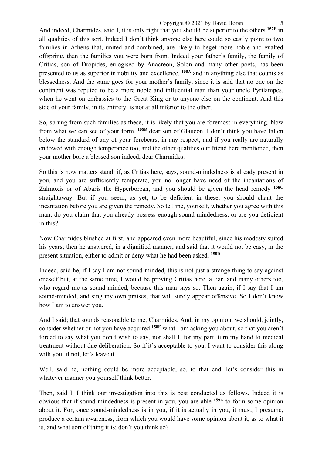And indeed, Charmides, said I, it is only right that you should be superior to the others **157E** in all qualities of this sort. Indeed I don't think anyone else here could so easily point to two families in Athens that, united and combined, are likely to beget more noble and exalted offspring, than the families you were born from. Indeed your father's family, the family of Critias, son of Dropides, eulogised by Anacreon, Solon and many other poets, has been presented to us as superior in nobility and excellence, **158A** and in anything else that counts as blessedness. And the same goes for your mother's family, since it is said that no one on the continent was reputed to be a more noble and influential man than your uncle Pyrilampes, when he went on embassies to the Great King or to anyone else on the continent. And this side of your family, in its entirety, is not at all inferior to the other.

So, sprung from such families as these, it is likely that you are foremost in everything. Now from what we can see of your form, **158B** dear son of Glaucon, I don't think you have fallen below the standard of any of your forebears, in any respect, and if you really are naturally endowed with enough temperance too, and the other qualities our friend here mentioned, then your mother bore a blessed son indeed, dear Charmides.

So this is how matters stand: if, as Critias here, says, sound-mindedness is already present in you, and you are sufficiently temperate, you no longer have need of the incantations of Zalmoxis or of Abaris the Hyperborean, and you should be given the head remedy **158C** straightaway. But if you seem, as yet, to be deficient in these, you should chant the incantation before you are given the remedy. So tell me, yourself, whether you agree with this man; do you claim that you already possess enough sound-mindedness, or are you deficient in this?

Now Charmides blushed at first, and appeared even more beautiful, since his modesty suited his years; then he answered, in a dignified manner, and said that it would not be easy, in the present situation, either to admit or deny what he had been asked. **158D**

Indeed, said he, if I say I am not sound-minded, this is not just a strange thing to say against oneself but, at the same time, I would be proving Critias here, a liar, and many others too, who regard me as sound-minded, because this man says so. Then again, if I say that I am sound-minded, and sing my own praises, that will surely appear offensive. So I don't know how I am to answer you.

And I said; that sounds reasonable to me, Charmides. And, in my opinion, we should, jointly, consider whether or not you have acquired **158E** what I am asking you about, so that you aren't forced to say what you don't wish to say, nor shall I, for my part, turn my hand to medical treatment without due deliberation. So if it's acceptable to you, I want to consider this along with you; if not, let's leave it.

Well, said he, nothing could be more acceptable, so, to that end, let's consider this in whatever manner you yourself think better.

Then, said I, I think our investigation into this is best conducted as follows. Indeed it is obvious that if sound-mindedness is present in you, you are able **159A** to form some opinion about it. For, once sound-mindedness is in you, if it is actually in you, it must, I presume, produce a certain awareness, from which you would have some opinion about it, as to what it is, and what sort of thing it is; don't you think so?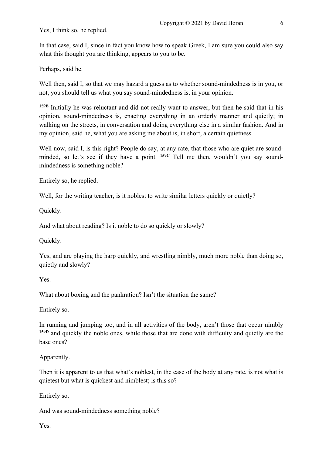Yes, I think so, he replied.

In that case, said I, since in fact you know how to speak Greek, I am sure you could also say what this thought you are thinking, appears to you to be.

Perhaps, said he.

Well then, said I, so that we may hazard a guess as to whether sound-mindedness is in you, or not, you should tell us what you say sound-mindedness is, in your opinion.

**159B** Initially he was reluctant and did not really want to answer, but then he said that in his opinion, sound-mindedness is, enacting everything in an orderly manner and quietly; in walking on the streets, in conversation and doing everything else in a similar fashion. And in my opinion, said he, what you are asking me about is, in short, a certain quietness.

Well now, said I, is this right? People do say, at any rate, that those who are quiet are soundminded, so let's see if they have a point. **159C** Tell me then, wouldn't you say soundmindedness is something noble?

Entirely so, he replied.

Well, for the writing teacher, is it noblest to write similar letters quickly or quietly?

Quickly.

And what about reading? Is it noble to do so quickly or slowly?

Quickly.

Yes, and are playing the harp quickly, and wrestling nimbly, much more noble than doing so, quietly and slowly?

Yes.

What about boxing and the pankration? Isn't the situation the same?

Entirely so.

In running and jumping too, and in all activities of the body, aren't those that occur nimbly **159D** and quickly the noble ones, while those that are done with difficulty and quietly are the base ones?

Apparently.

Then it is apparent to us that what's noblest, in the case of the body at any rate, is not what is quietest but what is quickest and nimblest; is this so?

Entirely so.

And was sound-mindedness something noble?

Yes.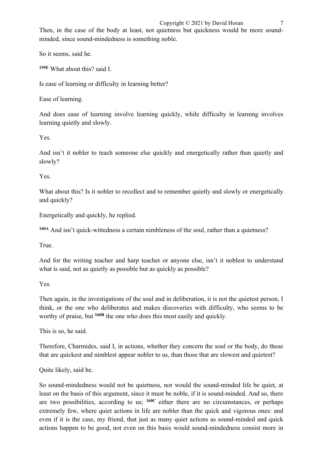## Copyright  $\odot$  2021 by David Horan 7

Then, in the case of the body at least, not quietness but quickness would be more soundminded, since sound-mindedness is something noble.

So it seems, said he.

**159E** What about this? said I.

Is ease of learning or difficulty in learning better?

Ease of learning.

And does ease of learning involve learning quickly, while difficulty in learning involves learning quietly and slowly.

Yes.

And isn't it nobler to teach someone else quickly and energetically rather than quietly and slowly?

Yes.

What about this? Is it nobler to recollect and to remember quietly and slowly or energetically and quickly?

Energetically and quickly, he replied.

<sup>160A</sup> And isn't quick-wittedness a certain nimbleness of the soul, rather than a quietness?

True.

And for the writing teacher and harp teacher or anyone else, isn't it noblest to understand what is said, not as quietly as possible but as quickly as possible?

Yes.

Then again, in the investigations of the soul and in deliberation, it is not the quietest person. I think, or the one who deliberates and makes discoveries with difficulty, who seems to be worthy of praise, but **160B** the one who does this most easily and quickly.

This is so, he said.

Therefore, Charmides, said I, in actions, whether they concern the soul or the body, do those that are quickest and nimblest appear nobler to us, than those that are slowest and quietest?

Quite likely, said he.

So sound-mindedness would not be quietness, nor would the sound-minded life be quiet, at least on the basis of this argument, since it must be noble, if it is sound-minded. And so, there are two possibilities, according to us; **160C** either there are no circumstances, or perhaps extremely few, where quiet actions in life are nobler than the quick and vigorous ones: and even if it is the case, my friend, that just as many quiet actions as sound-minded and quick actions happen to be good, not even on this basis would sound-mindedness consist more in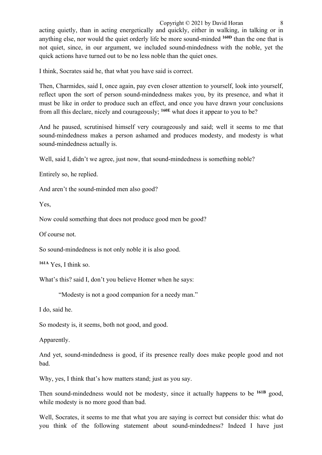acting quietly, than in acting energetically and quickly, either in walking, in talking or in anything else, nor would the quiet orderly life be more sound-minded **160D** than the one that is not quiet, since, in our argument, we included sound-mindedness with the noble, yet the quick actions have turned out to be no less noble than the quiet ones.

I think, Socrates said he, that what you have said is correct.

Then, Charmides, said I, once again, pay even closer attention to yourself, look into yourself, reflect upon the sort of person sound-mindedness makes you, by its presence, and what it must be like in order to produce such an effect, and once you have drawn your conclusions from all this declare, nicely and courageously; **160E** what does it appear to you to be?

And he paused, scrutinised himself very courageously and said; well it seems to me that sound-mindedness makes a person ashamed and produces modesty, and modesty is what sound-mindedness actually is.

Well, said I, didn't we agree, just now, that sound-mindedness is something noble?

Entirely so, he replied.

And aren't the sound-minded men also good?

Yes,

Now could something that does not produce good men be good?

Of course not.

So sound-mindedness is not only noble it is also good.

**161A** Yes, I think so.

What's this? said I, don't you believe Homer when he says:

"Modesty is not a good companion for a needy man."

I do, said he.

So modesty is, it seems, both not good, and good.

Apparently.

And yet, sound-mindedness is good, if its presence really does make people good and not bad.

Why, yes, I think that's how matters stand; just as you say.

Then sound-mindedness would not be modesty, since it actually happens to be **161B** good, while modesty is no more good than bad.

Well, Socrates, it seems to me that what you are saying is correct but consider this: what do you think of the following statement about sound-mindedness? Indeed I have just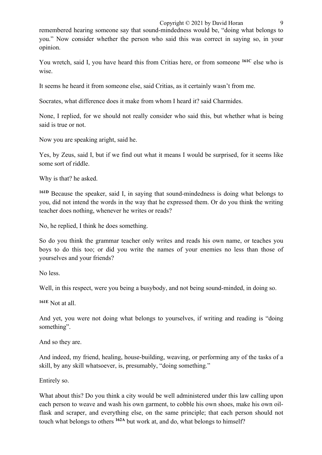remembered hearing someone say that sound-mindedness would be, "doing what belongs to you." Now consider whether the person who said this was correct in saying so, in your opinion.

You wretch, said I, you have heard this from Critias here, or from someone **161C** else who is wise.

It seems he heard it from someone else, said Critias, as it certainly wasn't from me.

Socrates, what difference does it make from whom I heard it? said Charmides.

None, I replied, for we should not really consider who said this, but whether what is being said is true or not.

Now you are speaking aright, said he.

Yes, by Zeus, said I, but if we find out what it means I would be surprised, for it seems like some sort of riddle.

Why is that? he asked.

**161D** Because the speaker, said I, in saying that sound-mindedness is doing what belongs to you, did not intend the words in the way that he expressed them. Or do you think the writing teacher does nothing, whenever he writes or reads?

No, he replied, I think he does something.

So do you think the grammar teacher only writes and reads his own name, or teaches you boys to do this too; or did you write the names of your enemies no less than those of yourselves and your friends?

No less.

Well, in this respect, were you being a busybody, and not being sound-minded, in doing so.

**161E** Not at all.

And yet, you were not doing what belongs to yourselves, if writing and reading is "doing something".

And so they are.

And indeed, my friend, healing, house-building, weaving, or performing any of the tasks of a skill, by any skill whatsoever, is, presumably, "doing something."

Entirely so.

What about this? Do you think a city would be well administered under this law calling upon each person to weave and wash his own garment, to cobble his own shoes, make his own oilflask and scraper, and everything else, on the same principle; that each person should not touch what belongs to others **162A** but work at, and do, what belongs to himself?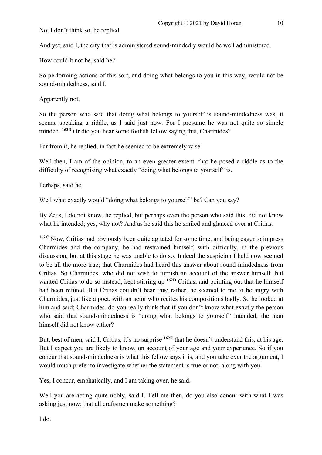No, I don't think so, he replied.

And yet, said I, the city that is administered sound-mindedly would be well administered.

How could it not be, said he?

So performing actions of this sort, and doing what belongs to you in this way, would not be sound-mindedness, said I.

Apparently not.

So the person who said that doing what belongs to yourself is sound-mindedness was, it seems, speaking a riddle, as I said just now. For I presume he was not quite so simple minded. <sup>162B</sup> Or did you hear some foolish fellow saying this, Charmides?

Far from it, he replied, in fact he seemed to be extremely wise.

Well then, I am of the opinion, to an even greater extent, that he posed a riddle as to the difficulty of recognising what exactly "doing what belongs to yourself" is.

Perhaps, said he.

Well what exactly would "doing what belongs to yourself" be? Can you say?

By Zeus, I do not know, he replied, but perhaps even the person who said this, did not know what he intended; yes, why not? And as he said this he smiled and glanced over at Critias.

**162C** Now, Critias had obviously been quite agitated for some time, and being eager to impress Charmides and the company, he had restrained himself, with difficulty, in the previous discussion, but at this stage he was unable to do so. Indeed the suspicion I held now seemed to be all the more true; that Charmides had heard this answer about sound-mindedness from Critias. So Charmides, who did not wish to furnish an account of the answer himself, but wanted Critias to do so instead, kept stirring up **162D** Critias, and pointing out that he himself had been refuted. But Critias couldn't bear this; rather, he seemed to me to be angry with Charmides, just like a poet, with an actor who recites his compositions badly. So he looked at him and said; Charmides, do you really think that if you don't know what exactly the person who said that sound-mindedness is "doing what belongs to yourself" intended, the man himself did not know either?

But, best of men, said I, Critias, it's no surprise **162E** that he doesn't understand this, at his age. But I expect you are likely to know, on account of your age and your experience. So if you concur that sound-mindedness is what this fellow says it is, and you take over the argument, I would much prefer to investigate whether the statement is true or not, along with you.

Yes, I concur, emphatically, and I am taking over, he said.

Well you are acting quite nobly, said I. Tell me then, do you also concur with what I was asking just now: that all craftsmen make something?

I do.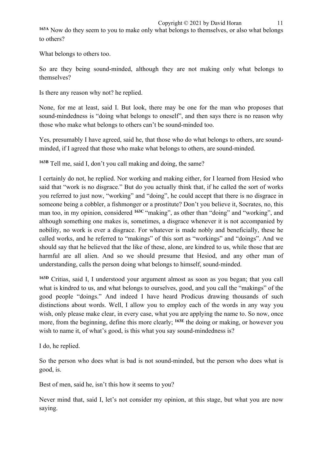**163A** Now do they seem to you to make only what belongs to themselves, or also what belongs to others?

What belongs to others too.

So are they being sound-minded, although they are not making only what belongs to themselves?

Is there any reason why not? he replied.

None, for me at least, said I. But look, there may be one for the man who proposes that sound-mindedness is "doing what belongs to oneself", and then says there is no reason why those who make what belongs to others can't be sound-minded too.

Yes, presumably I have agreed, said he, that those who do what belongs to others, are soundminded, if I agreed that those who make what belongs to others, are sound-minded.

**163B** Tell me, said I, don't you call making and doing, the same?

I certainly do not, he replied. Nor working and making either, for I learned from Hesiod who said that "work is no disgrace." But do you actually think that, if he called the sort of works you referred to just now, "working" and "doing", he could accept that there is no disgrace in someone being a cobbler, a fishmonger or a prostitute? Don't you believe it, Socrates, no, this man too, in my opinion, considered <sup>163C</sup> "making", as other than "doing" and "working", and although something one makes is, sometimes, a disgrace whenever it is not accompanied by nobility, no work is ever a disgrace. For whatever is made nobly and beneficially, these he called works, and he referred to "makings" of this sort as "workings" and "doings". And we should say that he believed that the like of these, alone, are kindred to us, while those that are harmful are all alien. And so we should presume that Hesiod, and any other man of understanding, calls the person doing what belongs to himself, sound-minded.

**163D** Critias, said I, I understood your argument almost as soon as you began; that you call what is kindred to us, and what belongs to ourselves, good, and you call the "makings" of the good people "doings." And indeed I have heard Prodicus drawing thousands of such distinctions about words. Well, I allow you to employ each of the words in any way you wish, only please make clear, in every case, what you are applying the name to. So now, once more, from the beginning, define this more clearly; **163E** the doing or making, or however you wish to name it, of what's good, is this what you say sound-mindedness is?

I do, he replied.

So the person who does what is bad is not sound-minded, but the person who does what is good, is.

Best of men, said he, isn't this how it seems to you?

Never mind that, said I, let's not consider my opinion, at this stage, but what you are now saying.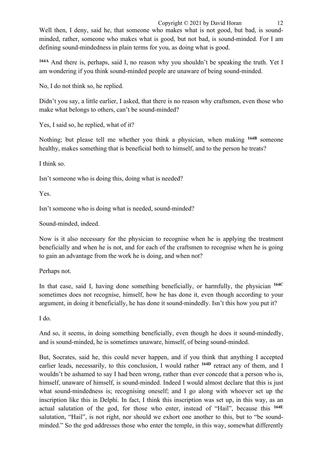**164A** And there is, perhaps, said I, no reason why you shouldn't be speaking the truth. Yet I am wondering if you think sound-minded people are unaware of being sound-minded.

No, I do not think so, he replied.

Didn't you say, a little earlier, I asked, that there is no reason why craftsmen, even those who make what belongs to others, can't be sound-minded?

Yes, I said so, he replied, what of it?

Nothing; but please tell me whether you think a physician, when making **164B** someone healthy, makes something that is beneficial both to himself, and to the person he treats?

I think so.

Isn't someone who is doing this, doing what is needed?

Yes.

Isn't someone who is doing what is needed, sound-minded?

Sound-minded, indeed.

Now is it also necessary for the physician to recognise when he is applying the treatment beneficially and when he is not, and for each of the craftsmen to recognise when he is going to gain an advantage from the work he is doing, and when not?

Perhaps not.

In that case, said I, having done something beneficially, or harmfully, the physician **164C** sometimes does not recognise, himself, how he has done it, even though according to your argument, in doing it beneficially, he has done it sound-mindedly. Isn't this how you put it?

I do.

And so, it seems, in doing something beneficially, even though he does it sound-mindedly, and is sound-minded, he is sometimes unaware, himself, of being sound-minded.

But, Socrates, said he, this could never happen, and if you think that anything I accepted earlier leads, necessarily, to this conclusion, I would rather **164D** retract any of them, and I wouldn't be ashamed to say I had been wrong, rather than ever concede that a person who is, himself, unaware of himself, is sound-minded. Indeed I would almost declare that this is just what sound-mindedness is; recognising oneself; and I go along with whoever set up the inscription like this in Delphi. In fact, I think this inscription was set up, in this way, as an actual salutation of the god, for those who enter, instead of "Hail", because this **164E** salutation, "Hail", is not right, nor should we exhort one another to this, but to "be soundminded." So the god addresses those who enter the temple, in this way, somewhat differently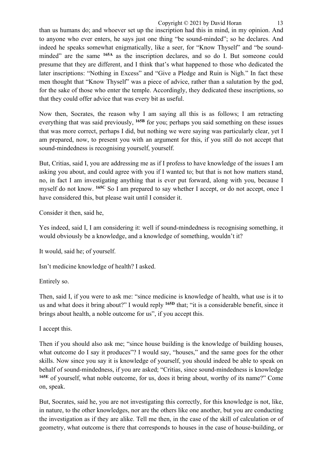than us humans do; and whoever set up the inscription had this in mind, in my opinion. And to anyone who ever enters, he says just one thing "be sound-minded"; so he declares. And indeed he speaks somewhat enigmatically, like a seer, for "Know Thyself" and "be soundminded" are the same **165A** as the inscription declares, and so do I. But someone could presume that they are different, and I think that's what happened to those who dedicated the later inscriptions: "Nothing in Excess" and "Give a Pledge and Ruin is Nigh." In fact these men thought that "Know Thyself" was a piece of advice, rather than a salutation by the god, for the sake of those who enter the temple. Accordingly, they dedicated these inscriptions, so that they could offer advice that was every bit as useful.

Now then, Socrates, the reason why I am saying all this is as follows; I am retracting everything that was said previously, **165B** for you; perhaps you said something on these issues that was more correct, perhaps I did, but nothing we were saying was particularly clear, yet I am prepared, now, to present you with an argument for this, if you still do not accept that sound-mindedness is recognising yourself, yourself.

But, Critias, said I, you are addressing me as if I profess to have knowledge of the issues I am asking you about, and could agree with you if I wanted to; but that is not how matters stand, no, in fact I am investigating anything that is ever put forward, along with you, because I myself do not know. **165C** So I am prepared to say whether I accept, or do not accept, once I have considered this, but please wait until I consider it.

Consider it then, said he,

Yes indeed, said I, I am considering it: well if sound-mindedness is recognising something, it would obviously be a knowledge, and a knowledge of something, wouldn't it?

It would, said he; of yourself.

Isn't medicine knowledge of health? I asked.

Entirely so.

Then, said I, if you were to ask me: "since medicine is knowledge of health, what use is it to us and what does it bring about?" I would reply **165D** that; "it is a considerable benefit, since it brings about health, a noble outcome for us", if you accept this.

I accept this.

Then if you should also ask me; "since house building is the knowledge of building houses, what outcome do I say it produces"? I would say, "houses," and the same goes for the other skills. Now since you say it is knowledge of yourself, you should indeed be able to speak on behalf of sound-mindedness, if you are asked; "Critias, since sound-mindedness is knowledge **165E** of yourself, what noble outcome, for us, does it bring about, worthy of its name?" Come on, speak.

But, Socrates, said he, you are not investigating this correctly, for this knowledge is not, like, in nature, to the other knowledges, nor are the others like one another, but you are conducting the investigation as if they are alike. Tell me then, in the case of the skill of calculation or of geometry, what outcome is there that corresponds to houses in the case of house-building, or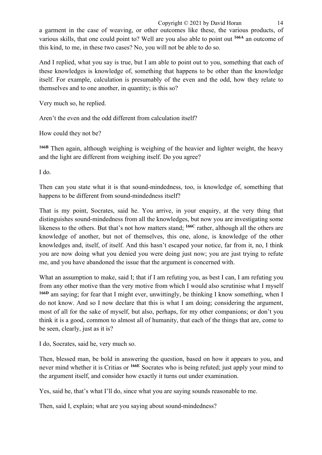Copyright  $\odot$  2021 by David Horan 14 a garment in the case of weaving, or other outcomes like these, the various products, of various skills, that one could point to? Well are you also able to point out **166A** an outcome of this kind, to me, in these two cases? No, you will not be able to do so.

And I replied, what you say is true, but I am able to point out to you, something that each of these knowledges is knowledge of, something that happens to be other than the knowledge itself. For example, calculation is presumably of the even and the odd, how they relate to themselves and to one another, in quantity; is this so?

Very much so, he replied.

Aren't the even and the odd different from calculation itself?

How could they not be?

**166B** Then again, although weighing is weighing of the heavier and lighter weight, the heavy and the light are different from weighing itself. Do you agree?

I do.

Then can you state what it is that sound-mindedness, too, is knowledge of, something that happens to be different from sound-mindedness itself?

That is my point, Socrates, said he. You arrive, in your enquiry, at the very thing that distinguishes sound-mindedness from all the knowledges, but now you are investigating some likeness to the others. But that's not how matters stand; **166C** rather, although all the others are knowledge of another, but not of themselves, this one, alone, is knowledge of the other knowledges and, itself, of itself. And this hasn't escaped your notice, far from it, no, I think you are now doing what you denied you were doing just now; you are just trying to refute me, and you have abandoned the issue that the argument is concerned with.

What an assumption to make, said I; that if I am refuting you, as best I can, I am refuting you from any other motive than the very motive from which I would also scrutinise what I myself **166D** am saying; for fear that I might ever, unwittingly, be thinking I know something, when I do not know. And so I now declare that this is what I am doing; considering the argument, most of all for the sake of myself, but also, perhaps, for my other companions; or don't you think it is a good, common to almost all of humanity, that each of the things that are, come to be seen, clearly, just as it is?

I do, Socrates, said he, very much so.

Then, blessed man, be bold in answering the question, based on how it appears to you, and never mind whether it is Critias or **166E** Socrates who is being refuted; just apply your mind to the argument itself, and consider how exactly it turns out under examination.

Yes, said he, that's what I'll do, since what you are saying sounds reasonable to me.

Then, said I, explain; what are you saying about sound-mindedness?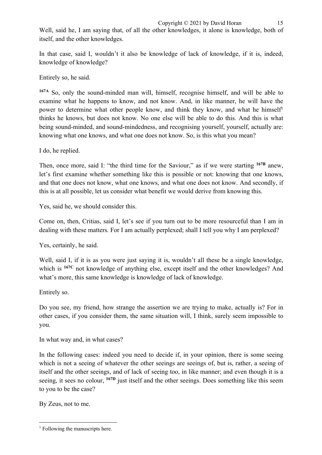Well, said he, I am saying that, of all the other knowledges, it alone is knowledge, both of itself, and the other knowledges.

In that case, said I, wouldn't it also be knowledge of lack of knowledge, if it is, indeed, knowledge of knowledge?

Entirely so, he said.

**167A** So, only the sound-minded man will, himself, recognise himself, and will be able to examine what he happens to know, and not know. And, in like manner, he will have the power to determine what other people know, and think they know, and what he himself<sup>1</sup> thinks he knows, but does not know. No one else will be able to do this. And this is what being sound-minded, and sound-mindedness, and recognising yourself, yourself, actually are: knowing what one knows, and what one does not know. So, is this what you mean?

I do, he replied.

Then, once more, said I: "the third time for the Saviour," as if we were starting **167B** anew, let's first examine whether something like this is possible or not: knowing that one knows, and that one does not know, what one knows, and what one does not know. And secondly, if this is at all possible, let us consider what benefit we would derive from knowing this.

Yes, said he, we should consider this.

Come on, then, Critias, said I, let's see if you turn out to be more resourceful than I am in dealing with these matters. For I am actually perplexed; shall I tell you why I am perplexed?

Yes, certainly, he said.

Well, said I, if it is as you were just saying it is, wouldn't all these be a single knowledge, which is **167C** not knowledge of anything else, except itself and the other knowledges? And what's more, this same knowledge is knowledge of lack of knowledge.

Entirely so.

Do you see, my friend, how strange the assertion we are trying to make, actually is? For in other cases, if you consider them, the same situation will, I think, surely seem impossible to you.

In what way and, in what cases?

In the following cases: indeed you need to decide if, in your opinion, there is some seeing which is not a seeing of whatever the other seeings are seeings of, but is, rather, a seeing of itself and the other seeings, and of lack of seeing too, in like manner; and even though it is a seeing, it sees no colour, **167D** just itself and the other seeings. Does something like this seem to you to be the case?

By Zeus, not to me.

 $<sup>1</sup>$  Following the manuscripts here.</sup>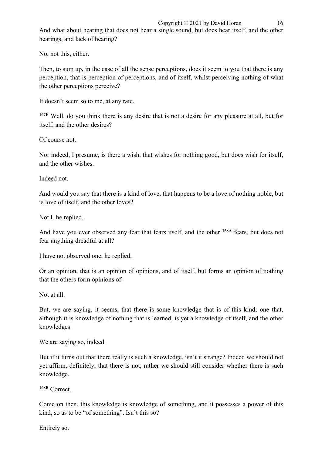And what about hearing that does not hear a single sound, but does hear itself, and the other hearings, and lack of hearing?

No, not this, either.

Then, to sum up, in the case of all the sense perceptions, does it seem to you that there is any perception, that is perception of perceptions, and of itself, whilst perceiving nothing of what the other perceptions perceive?

It doesn't seem so to me, at any rate.

**167E** Well, do you think there is any desire that is not a desire for any pleasure at all, but for itself, and the other desires?

Of course not.

Nor indeed, I presume, is there a wish, that wishes for nothing good, but does wish for itself, and the other wishes.

Indeed not.

And would you say that there is a kind of love, that happens to be a love of nothing noble, but is love of itself, and the other loves?

Not I, he replied.

And have you ever observed any fear that fears itself, and the other **168A** fears, but does not fear anything dreadful at all?

I have not observed one, he replied.

Or an opinion, that is an opinion of opinions, and of itself, but forms an opinion of nothing that the others form opinions of.

Not at all.

But, we are saying, it seems, that there is some knowledge that is of this kind; one that, although it is knowledge of nothing that is learned, is yet a knowledge of itself, and the other knowledges.

We are saying so, indeed.

But if it turns out that there really is such a knowledge, isn't it strange? Indeed we should not yet affirm, definitely, that there is not, rather we should still consider whether there is such knowledge.

**168B** Correct.

Come on then, this knowledge is knowledge of something, and it possesses a power of this kind, so as to be "of something". Isn't this so?

Entirely so.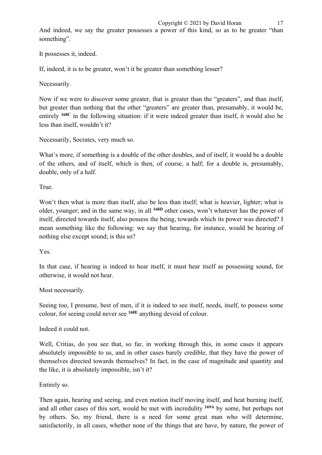And indeed, we say the greater possesses a power of this kind, so as to be greater "than something".

It possesses it, indeed.

If, indeed, it is to be greater, won't it be greater than something lesser?

Necessarily.

Now if we were to discover some greater, that is greater than the "greaters", and than itself, but greater than nothing that the other "greaters" are greater than, presumably, it would be, entirely **168C** in the following situation: if it were indeed greater than itself, it would also be less than itself, wouldn't it?

Necessarily, Socrates, very much so.

What's more, if something is a double of the other doubles, and of itself, it would be a double of the others, and of itself, which is then, of course, a half; for a double is, presumably, double, only of a half.

True.

Won't then what is more than itself, also be less than itself; what is heavier, lighter; what is older, younger; and in the same way, in all **168D** other cases, won't whatever has the power of itself, directed towards itself, also possess the being, towards which its power was directed? I mean something like the following: we say that hearing, for instance, would be hearing of nothing else except sound; is this so?

Yes.

In that case, if hearing is indeed to hear itself, it must hear itself as possessing sound, for otherwise, it would not hear.

Most necessarily.

Seeing too, I presume, best of men, if it is indeed to see itself, needs, itself, to possess some colour, for seeing could never see **168E** anything devoid of colour.

Indeed it could not.

Well, Critias, do you see that, so far, in working through this, in some cases it appears absolutely impossible to us, and in other cases barely credible, that they have the power of themselves directed towards themselves? In fact, in the case of magnitude and quantity and the like, it is absolutely impossible, isn't it?

Entirely so.

Then again, hearing and seeing, and even motion itself moving itself, and heat burning itself, and all other cases of this sort, would be met with incredulity **169A** by some, but perhaps not by others. So, my friend, there is a need for some great man who will determine, satisfactorily, in all cases, whether none of the things that are have, by nature, the power of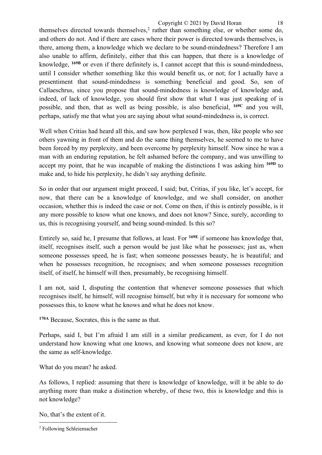themselves directed towards themselves, <sup>2</sup> rather than something else, or whether some do, and others do not. And if there are cases where their power is directed towards themselves, is there, among them, a knowledge which we declare to be sound-mindedness? Therefore I am also unable to affirm, definitely, either that this can happen, that there is a knowledge of knowledge, **169B** or even if there definitely is, I cannot accept that this is sound-mindedness, until I consider whether something like this would benefit us, or not; for I actually have a presentiment that sound-mindedness is something beneficial and good. So, son of Callaeschrus, since you propose that sound-mindedness is knowledge of knowledge and, indeed, of lack of knowledge, you should first show that what I was just speaking of is possible, and then, that as well as being possible, is also beneficial, **169C** and you will, perhaps, satisfy me that what you are saying about what sound-mindedness is, is correct.

Well when Critias had heard all this, and saw how perplexed I was, then, like people who see others yawning in front of them and do the same thing themselves, he seemed to me to have been forced by my perplexity, and been overcome by perplexity himself. Now since he was a man with an enduring reputation, he felt ashamed before the company, and was unwilling to accept my point, that he was incapable of making the distinctions I was asking him **169D** to make and, to hide his perplexity, he didn't say anything definite.

So in order that our argument might proceed, I said; but, Critias, if you like, let's accept, for now, that there can be a knowledge of knowledge, and we shall consider, on another occasion, whether this is indeed the case or not. Come on then, if this is entirely possible, is it any more possible to know what one knows, and does not know? Since, surely, according to us, this is recognising yourself, and being sound-minded. Is this so?

Entirely so, said he, I presume that follows, at least. For **169E** if someone has knowledge that, itself, recognises itself, such a person would be just like what he possesses; just as, when someone possesses speed, he is fast; when someone possesses beauty, he is beautiful; and when he possesses recognition, he recognises; and when someone possesses recognition itself, of itself, he himself will then, presumably, be recognising himself.

I am not, said I, disputing the contention that whenever someone possesses that which recognises itself, he himself, will recognise himself, but why it is necessary for someone who possesses this, to know what he knows and what he does not know.

**170A** Because, Socrates, this is the same as that.

Perhaps, said I, but I'm afraid I am still in a similar predicament, as ever, for I do not understand how knowing what one knows, and knowing what someone does not know, are the same as self-knowledge.

What do you mean? he asked.

As follows, I replied: assuming that there is knowledge of knowledge, will it be able to do anything more than make a distinction whereby, of these two, this is knowledge and this is not knowledge?

No, that's the extent of it.

<sup>2</sup> Following Schleiemacher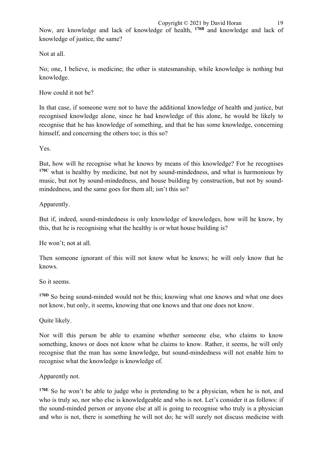Now, are knowledge and lack of knowledge of health, <sup>170B</sup> and knowledge and lack of knowledge of justice, the same?

Not at all.

No; one, I believe, is medicine; the other is statesmanship, while knowledge is nothing but knowledge.

How could it not be?

In that case, if someone were not to have the additional knowledge of health and justice, but recognised knowledge alone, since he had knowledge of this alone, he would be likely to recognise that he has knowledge of something, and that he has some knowledge, concerning himself, and concerning the others too; is this so?

Yes.

But, how will he recognise what he knows by means of this knowledge? For he recognises **170C** what is healthy by medicine, but not by sound-mindedness, and what is harmonious by music, but not by sound-mindedness, and house building by construction, but not by soundmindedness, and the same goes for them all; isn't this so?

Apparently.

But if, indeed, sound-mindedness is only knowledge of knowledges, how will he know, by this, that he is recognising what the healthy is or what house building is?

He won't; not at all.

Then someone ignorant of this will not know what he knows; he will only know that he knows.

So it seems.

<sup>170D</sup> So being sound-minded would not be this; knowing what one knows and what one does not know, but only, it seems, knowing that one knows and that one does not know.

Quite likely.

Nor will this person be able to examine whether someone else, who claims to know something, knows or does not know what he claims to know. Rather, it seems, he will only recognise that the man has some knowledge, but sound-mindedness will not enable him to recognise what the knowledge is knowledge of.

Apparently not.

**170E** So he won't be able to judge who is pretending to be a physician, when he is not, and who is truly so, nor who else is knowledgeable and who is not. Let's consider it as follows: if the sound-minded person or anyone else at all is going to recognise who truly is a physician and who is not, there is something he will not do; he will surely not discuss medicine with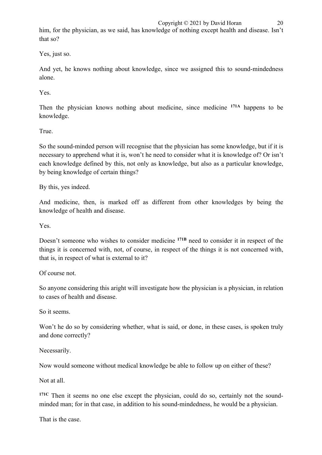him, for the physician, as we said, has knowledge of nothing except health and disease. Isn't that so?

Yes, just so.

And yet, he knows nothing about knowledge, since we assigned this to sound-mindedness alone.

Yes.

Then the physician knows nothing about medicine, since medicine **171A** happens to be knowledge.

True.

So the sound-minded person will recognise that the physician has some knowledge, but if it is necessary to apprehend what it is, won't he need to consider what it is knowledge of? Or isn't each knowledge defined by this, not only as knowledge, but also as a particular knowledge, by being knowledge of certain things?

By this, yes indeed.

And medicine, then, is marked off as different from other knowledges by being the knowledge of health and disease.

Yes.

Doesn't someone who wishes to consider medicine **171B** need to consider it in respect of the things it is concerned with, not, of course, in respect of the things it is not concerned with, that is, in respect of what is external to it?

Of course not.

So anyone considering this aright will investigate how the physician is a physician, in relation to cases of health and disease.

So it seems.

Won't he do so by considering whether, what is said, or done, in these cases, is spoken truly and done correctly?

Necessarily.

Now would someone without medical knowledge be able to follow up on either of these?

Not at all.

**171C** Then it seems no one else except the physician, could do so, certainly not the soundminded man; for in that case, in addition to his sound-mindedness, he would be a physician.

That is the case.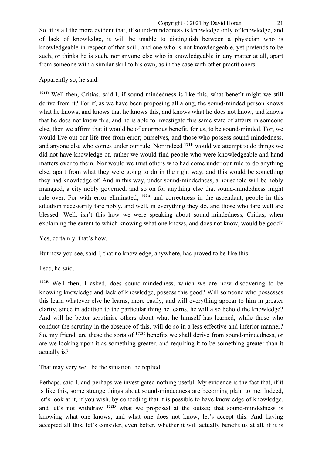So, it is all the more evident that, if sound-mindedness is knowledge only of knowledge, and of lack of knowledge, it will be unable to distinguish between a physician who is knowledgeable in respect of that skill, and one who is not knowledgeable, yet pretends to be such, or thinks he is such, nor anyone else who is knowledgeable in any matter at all, apart from someone with a similar skill to his own, as in the case with other practitioners.

## Apparently so, he said.

**171D** Well then, Critias, said I, if sound-mindedness is like this, what benefit might we still derive from it? For if, as we have been proposing all along, the sound-minded person knows what he knows, and knows that he knows this, and knows what he does not know, and knows that he does not know this, and he is able to investigate this same state of affairs in someone else, then we affirm that it would be of enormous benefit, for us, to be sound-minded. For, we would live out our life free from error; ourselves, and those who possess sound-mindedness, and anyone else who comes under our rule. Nor indeed **171E** would we attempt to do things we did not have knowledge of, rather we would find people who were knowledgeable and hand matters over to them. Nor would we trust others who had come under our rule to do anything else, apart from what they were going to do in the right way, and this would be something they had knowledge of. And in this way, under sound-mindedness, a household will be nobly managed, a city nobly governed, and so on for anything else that sound-mindedness might rule over. For with error eliminated, **172A** and correctness in the ascendant, people in this situation necessarily fare nobly, and well, in everything they do, and those who fare well are blessed. Well, isn't this how we were speaking about sound-mindedness, Critias, when explaining the extent to which knowing what one knows, and does not know, would be good?

Yes, certainly, that's how.

But now you see, said I, that no knowledge, anywhere, has proved to be like this.

I see, he said.

**172B** Well then, I asked, does sound-mindedness, which we are now discovering to be knowing knowledge and lack of knowledge, possess this good? Will someone who possesses this learn whatever else he learns, more easily, and will everything appear to him in greater clarity, since in addition to the particular thing he learns, he will also behold the knowledge? And will he better scrutinise others about what he himself has learned, while those who conduct the scrutiny in the absence of this, will do so in a less effective and inferior manner? So, my friend, are these the sorts of **172C** benefits we shall derive from sound-mindedness, or are we looking upon it as something greater, and requiring it to be something greater than it actually is?

That may very well be the situation, he replied.

Perhaps, said I, and perhaps we investigated nothing useful. My evidence is the fact that, if it is like this, some strange things about sound-mindedness are becoming plain to me. Indeed, let's look at it, if you wish, by conceding that it is possible to have knowledge of knowledge, and let's not withdraw **172D** what we proposed at the outset; that sound-mindedness is knowing what one knows, and what one does not know; let's accept this. And having accepted all this, let's consider, even better, whether it will actually benefit us at all, if it is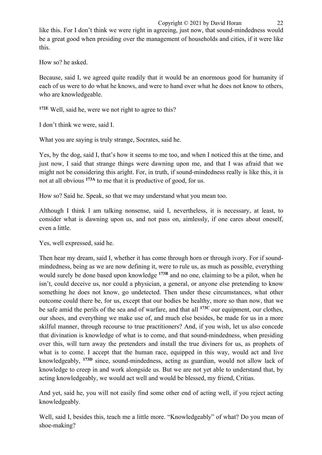like this. For I don't think we were right in agreeing, just now, that sound-mindedness would be a great good when presiding over the management of households and cities, if it were like this.

How so? he asked.

Because, said I, we agreed quite readily that it would be an enormous good for humanity if each of us were to do what he knows, and were to hand over what he does not know to others, who are knowledgeable.

**172E** Well, said he, were we not right to agree to this?

I don't think we were, said I.

What you are saying is truly strange, Socrates, said he.

Yes, by the dog, said I, that's how it seems to me too, and when I noticed this at the time, and just now, I said that strange things were dawning upon me, and that I was afraid that we might not be considering this aright. For, in truth, if sound-mindedness really is like this, it is not at all obvious **173A** to me that it is productive of good, for us.

How so? Said he. Speak, so that we may understand what you mean too.

Although I think I am talking nonsense, said I, nevertheless, it is necessary, at least, to consider what is dawning upon us, and not pass on, aimlessly, if one cares about oneself, even a little.

Yes, well expressed, said he.

Then hear my dream, said I, whether it has come through horn or through ivory. For if soundmindedness, being as we are now defining it, were to rule us, as much as possible, everything would surely be done based upon knowledge **173B** and no one, claiming to be a pilot, when he isn't, could deceive us, nor could a physician, a general, or anyone else pretending to know something he does not know, go undetected. Then under these circumstances, what other outcome could there be, for us, except that our bodies be healthy, more so than now, that we be safe amid the perils of the sea and of warfare, and that all **173C** our equipment, our clothes, our shoes, and everything we make use of, and much else besides, be made for us in a more skilful manner, through recourse to true practitioners? And, if you wish, let us also concede that divination is knowledge of what is to come, and that sound-mindedness, when presiding over this, will turn away the pretenders and install the true diviners for us, as prophets of what is to come. I accept that the human race, equipped in this way, would act and live knowledgeably, **173D** since, sound-mindedness, acting as guardian, would not allow lack of knowledge to creep in and work alongside us. But we are not yet able to understand that, by acting knowledgeably, we would act well and would be blessed, my friend, Critias.

And yet, said he, you will not easily find some other end of acting well, if you reject acting knowledgeably.

Well, said I, besides this, teach me a little more. "Knowledgeably" of what? Do you mean of shoe-making?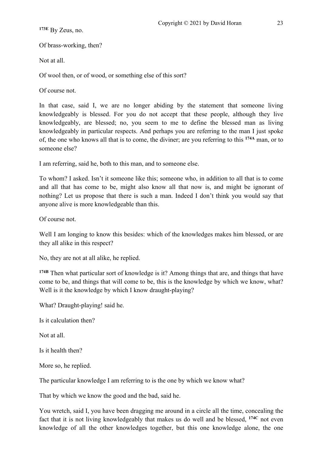**173E** By Zeus, no.

Of brass-working, then?

Not at all.

Of wool then, or of wood, or something else of this sort?

Of course not.

In that case, said I, we are no longer abiding by the statement that someone living knowledgeably is blessed. For you do not accept that these people, although they live knowledgeably, are blessed; no, you seem to me to define the blessed man as living knowledgeably in particular respects. And perhaps you are referring to the man I just spoke of, the one who knows all that is to come, the diviner; are you referring to this **174A** man, or to someone else?

I am referring, said he, both to this man, and to someone else.

To whom? I asked. Isn't it someone like this; someone who, in addition to all that is to come and all that has come to be, might also know all that now is, and might be ignorant of nothing? Let us propose that there is such a man. Indeed I don't think you would say that anyone alive is more knowledgeable than this.

Of course not.

Well I am longing to know this besides: which of the knowledges makes him blessed, or are they all alike in this respect?

No, they are not at all alike, he replied.

**174B** Then what particular sort of knowledge is it? Among things that are, and things that have come to be, and things that will come to be, this is the knowledge by which we know, what? Well is it the knowledge by which I know draught-playing?

What? Draught-playing! said he.

Is it calculation then?

Not at all.

Is it health then?

More so, he replied.

The particular knowledge I am referring to is the one by which we know what?

That by which we know the good and the bad, said he.

You wretch, said I, you have been dragging me around in a circle all the time, concealing the fact that it is not living knowledgeably that makes us do well and be blessed, **174C** not even knowledge of all the other knowledges together, but this one knowledge alone, the one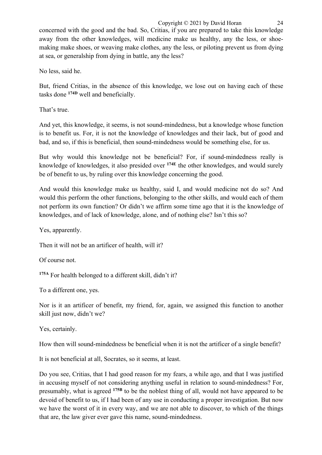Copyright © 2021 by David Horan 24 concerned with the good and the bad. So, Critias, if you are prepared to take this knowledge away from the other knowledges, will medicine make us healthy, any the less, or shoemaking make shoes, or weaving make clothes, any the less, or piloting prevent us from dying at sea, or generalship from dying in battle, any the less?

No less, said he.

But, friend Critias, in the absence of this knowledge, we lose out on having each of these tasks done **174D** well and beneficially.

That's true.

And yet, this knowledge, it seems, is not sound-mindedness, but a knowledge whose function is to benefit us. For, it is not the knowledge of knowledges and their lack, but of good and bad, and so, if this is beneficial, then sound-mindedness would be something else, for us.

But why would this knowledge not be beneficial? For, if sound-mindedness really is knowledge of knowledges, it also presided over **174E** the other knowledges, and would surely be of benefit to us, by ruling over this knowledge concerning the good.

And would this knowledge make us healthy, said I, and would medicine not do so? And would this perform the other functions, belonging to the other skills, and would each of them not perform its own function? Or didn't we affirm some time ago that it is the knowledge of knowledges, and of lack of knowledge, alone, and of nothing else? Isn't this so?

Yes, apparently.

Then it will not be an artificer of health, will it?

Of course not.

**175A** For health belonged to a different skill, didn't it?

To a different one, yes.

Nor is it an artificer of benefit, my friend, for, again, we assigned this function to another skill just now, didn't we?

Yes, certainly.

How then will sound-mindedness be beneficial when it is not the artificer of a single benefit?

It is not beneficial at all, Socrates, so it seems, at least.

Do you see, Critias, that I had good reason for my fears, a while ago, and that I was justified in accusing myself of not considering anything useful in relation to sound-mindedness? For, presumably, what is agreed **175B** to be the noblest thing of all, would not have appeared to be devoid of benefit to us, if I had been of any use in conducting a proper investigation. But now we have the worst of it in every way, and we are not able to discover, to which of the things that are, the law giver ever gave this name, sound-mindedness.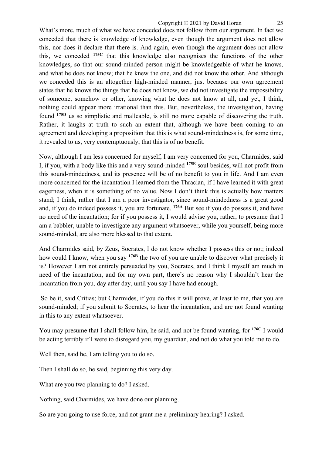#### Copyright © 2021 by David Horan 25

What's more, much of what we have conceded does not follow from our argument. In fact we conceded that there is knowledge of knowledge, even though the argument does not allow this, nor does it declare that there is. And again, even though the argument does not allow this, we conceded **175C** that this knowledge also recognises the functions of the other knowledges, so that our sound-minded person might be knowledgeable of what he knows, and what he does not know; that he knew the one, and did not know the other. And although we conceded this is an altogether high-minded manner, just because our own agreement states that he knows the things that he does not know, we did not investigate the impossibility of someone, somehow or other, knowing what he does not know at all, and yet, I think, nothing could appear more irrational than this. But, nevertheless, the investigation, having found **175D** us so simplistic and malleable, is still no more capable of discovering the truth. Rather, it laughs at truth to such an extent that, although we have been coming to an agreement and developing a proposition that this is what sound-mindedness is, for some time, it revealed to us, very contemptuously, that this is of no benefit.

Now, although I am less concerned for myself, I am very concerned for you, Charmides, said I, if you, with a body like this and a very sound-minded **175E** soul besides, will not profit from this sound-mindedness, and its presence will be of no benefit to you in life. And I am even more concerned for the incantation I learned from the Thracian, if I have learned it with great eagerness, when it is something of no value. Now I don't think this is actually how matters stand; I think, rather that I am a poor investigator, since sound-mindedness is a great good and, if you do indeed possess it, you are fortunate. **176A** But see if you do possess it, and have no need of the incantation; for if you possess it, I would advise you, rather, to presume that I am a babbler, unable to investigate any argument whatsoever, while you yourself, being more sound-minded, are also more blessed to that extent.

And Charmides said, by Zeus, Socrates, I do not know whether I possess this or not; indeed how could I know, when you say **176B** the two of you are unable to discover what precisely it is? However I am not entirely persuaded by you, Socrates, and I think I myself am much in need of the incantation, and for my own part, there's no reason why I shouldn't hear the incantation from you, day after day, until you say I have had enough.

So be it, said Critias; but Charmides, if you do this it will prove, at least to me, that you are sound-minded; if you submit to Socrates, to hear the incantation, and are not found wanting in this to any extent whatsoever.

You may presume that I shall follow him, he said, and not be found wanting, for **176C** I would be acting terribly if I were to disregard you, my guardian, and not do what you told me to do.

Well then, said he, I am telling you to do so.

Then I shall do so, he said, beginning this very day.

What are you two planning to do? I asked.

Nothing, said Charmides, we have done our planning.

So are you going to use force, and not grant me a preliminary hearing? I asked.